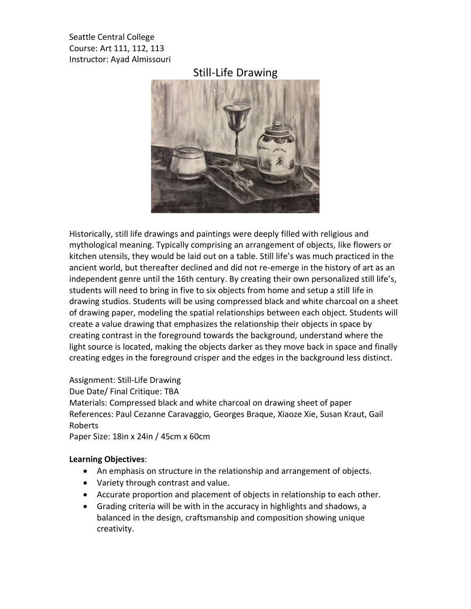Seattle Central College Course: Art 111, 112, 113 Instructor: Ayad Almissouri

## Still-Life Drawing



Historically, still life drawings and paintings were deeply filled with religious and mythological meaning. Typically comprising an arrangement of objects, like flowers or kitchen utensils, they would be laid out on a table. Still life's was much practiced in the ancient world, but thereafter declined and did not re-emerge in the history of art as an independent genre until the 16th century. By creating their own personalized still life's, students will need to bring in five to six objects from home and setup a still life in drawing studios. Students will be using compressed black and white charcoal on a sheet of drawing paper, modeling the spatial relationships between each object. Students will create a value drawing that emphasizes the relationship their objects in space by creating contrast in the foreground towards the background, understand where the light source is located, making the objects darker as they move back in space and finally creating edges in the foreground crisper and the edges in the background less distinct.

Assignment: Still-Life Drawing

Due Date/ Final Critique: TBA

Materials: Compressed black and white charcoal on drawing sheet of paper References: Paul Cezanne Caravaggio, Georges Braque, Xiaoze Xie, Susan Kraut, Gail Roberts

Paper Size: 18in x 24in / 45cm x 60cm

## **Learning Objectives**:

- An emphasis on structure in the relationship and arrangement of objects.
- Variety through contrast and value.
- Accurate proportion and placement of objects in relationship to each other.
- Grading criteria will be with in the accuracy in highlights and shadows, a balanced in the design, craftsmanship and composition showing unique creativity.